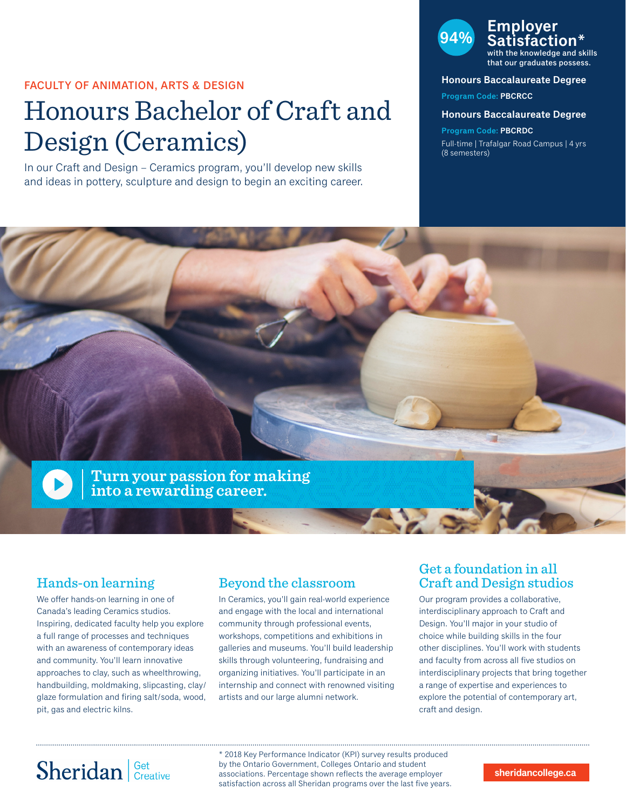## FACULTY OF ANIMATION, ARTS & DESIGN

# Honours Bachelor of Craft and Design (Ceramics)

In our Craft and Design – Ceramics program, you'll develop new skills and ideas in pottery, sculpture and design to begin an exciting career.



the knowledge and skills that our graduates possess.

## **Honours Baccalaureate Degree**

**Program Code: PBCRCC**

### **Honours Baccalaureate Degree**

**Program Code: PBCRDC** Full-time | Trafalgar Road Campus | 4 yrs (8 semesters)



# Hands-on learning

We offer hands-on learning in one of Canada's leading Ceramics studios. Inspiring, dedicated faculty help you explore a full range of processes and techniques with an awareness of contemporary ideas and community. You'll learn innovative approaches to clay, such as wheelthrowing, handbuilding, moldmaking, slipcasting, clay/ glaze formulation and firing salt/soda, wood, pit, gas and electric kilns.

# Beyond the classroom

In Ceramics, you'll gain real-world experience and engage with the local and international community through professional events, workshops, competitions and exhibitions in galleries and museums. You'll build leadership skills through volunteering, fundraising and organizing initiatives. You'll participate in an internship and connect with renowned visiting artists and our large alumni network.

# Get a foundation in all Craft and Design studios

Our program provides a collaborative, interdisciplinary approach to Craft and Design. You'll major in your studio of choice while building skills in the four other disciplines. You'll work with students and faculty from across all five studios on interdisciplinary projects that bring together a range of expertise and experiences to explore the potential of contemporary art, craft and design.

# Sheridan Get Creative

\* 2018 Key Performance Indicator (KPI) survey results produced by the Ontario Government, Colleges Ontario and student associations. Percentage shown reflects the average employer satisfaction across all Sheridan programs over the last five years.